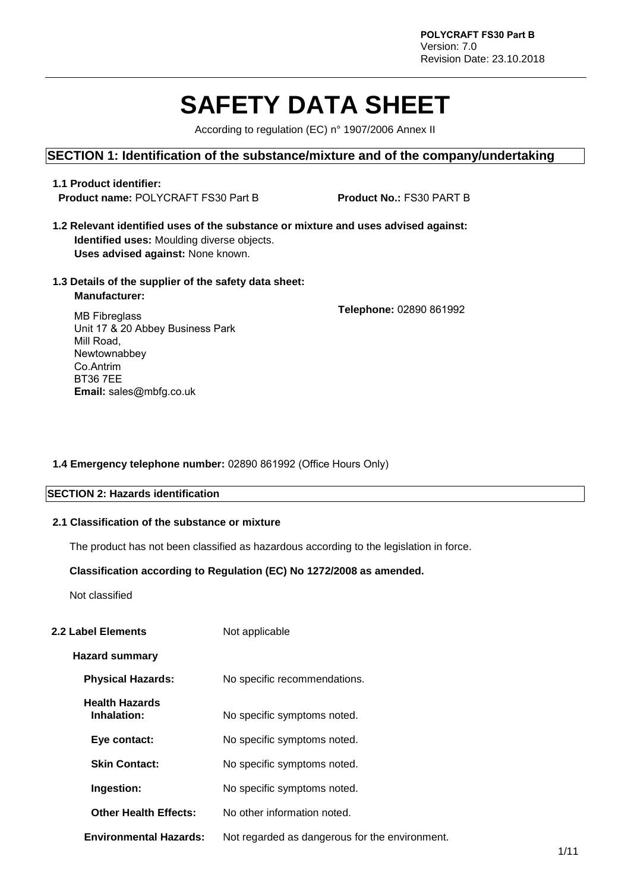# **SAFETY DATA SHEET**

According to regulation (EC) n° 1907/2006 Annex II

#### **SECTION 1: Identification of the substance/mixture and of the company/undertaking**

#### **1.1 Product identifier: Product name:** POLYCRAFT FS30 Part B **Product No.:** FS30 PART B

- **1.2 Relevant identified uses of the substance or mixture and uses advised against: Identified uses:** Moulding diverse objects. **Uses advised against:** None known.
- **1.3 Details of the supplier of the safety data sheet: Manufacturer:**

**Telephone:** 02890 861992

MB Fibreglass Unit 17 & 20 Abbey Business Park Mill Road, Newtownabbey Co.Antrim BT36 7EE **Email:** sales@mbfg.co.uk

#### **1.4 Emergency telephone number:** 02890 861992 (Office Hours Only)

#### **SECTION 2: Hazards identification**

#### **2.1 Classification of the substance or mixture**

The product has not been classified as hazardous according to the legislation in force.

#### **Classification according to Regulation (EC) No 1272/2008 as amended.**

Not classified

#### **2.2 Label Elements** Not applicable

#### **Hazard summary**

- **Physical Hazards:** No specific recommendations.
- **Health Hazards Inhalation:** No specific symptoms noted.
- **Eye contact:** No specific symptoms noted.
- **Skin Contact:** No specific symptoms noted.
- **Ingestion:** No specific symptoms noted.
- **Other Health Effects:** No other information noted.
- **Environmental Hazards:** Not regarded as dangerous for the environment.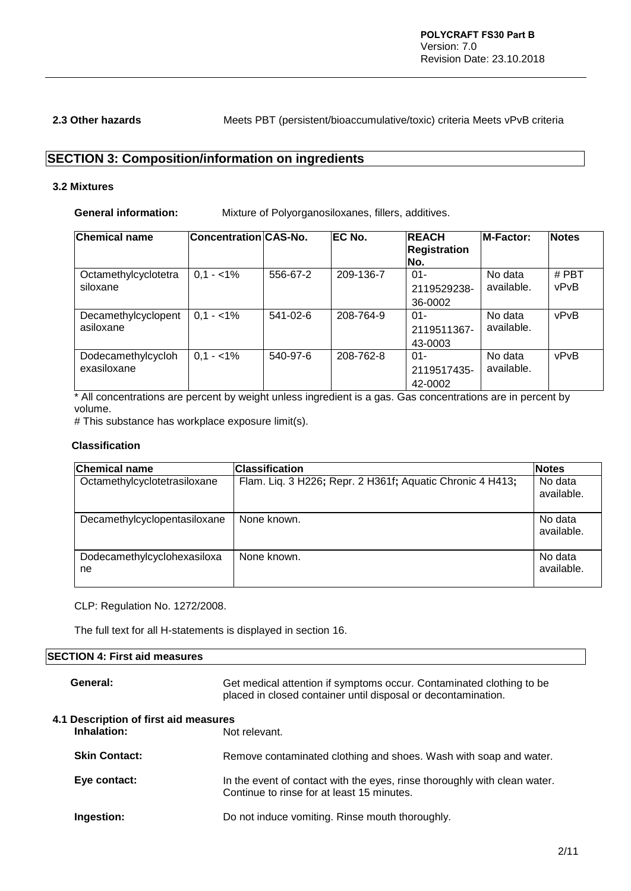**2.3 Other hazards** Meets PBT (persistent/bioaccumulative/toxic) criteria Meets vPvB criteria

# **SECTION 3: Composition/information on ingredients**

#### **3.2 Mixtures**

**General information:** Mixture of Polyorganosiloxanes, fillers, additives.

| <b>Chemical name</b>              | Concentration CAS-No. |          | EC No.    | <b>REACH</b><br><b>Registration</b><br>No. | <b>M-Factor:</b>      | <b>Notes</b>    |
|-----------------------------------|-----------------------|----------|-----------|--------------------------------------------|-----------------------|-----------------|
| Octamethylcyclotetra<br>siloxane  | $0,1 - 1\%$           | 556-67-2 | 209-136-7 | $01 -$<br>2119529238-<br>36-0002           | No data<br>available. | $#$ PBT<br>vPvB |
| Decamethylcyclopent<br>asiloxane  | $0.1 - 1\%$           | 541-02-6 | 208-764-9 | $01 -$<br>2119511367-<br>43-0003           | No data<br>available. | vPvB            |
| Dodecamethylcycloh<br>exasiloxane | $0.1 - 1\%$           | 540-97-6 | 208-762-8 | $01 -$<br>2119517435-<br>42-0002           | No data<br>available. | vPvB            |

\* All concentrations are percent by weight unless ingredient is a gas. Gas concentrations are in percent by volume.

# This substance has workplace exposure limit(s).

#### **Classification**

| <b>Chemical name</b>              | <b>Classification</b>                                     | <b>Notes</b>          |
|-----------------------------------|-----------------------------------------------------------|-----------------------|
| Octamethylcyclotetrasiloxane      | Flam. Liq. 3 H226; Repr. 2 H361f; Aquatic Chronic 4 H413; | No data<br>available. |
| Decamethylcyclopentasiloxane      | None known.                                               | No data<br>available. |
| Dodecamethylcyclohexasiloxa<br>ne | None known.                                               | No data<br>available. |

CLP: Regulation No. 1272/2008.

The full text for all H-statements is displayed in section 16.

#### **SECTION 4: First aid measures**

| General:                                             | Get medical attention if symptoms occur. Contaminated clothing to be<br>placed in closed container until disposal or decontamination. |
|------------------------------------------------------|---------------------------------------------------------------------------------------------------------------------------------------|
| 4.1 Description of first aid measures<br>Inhalation: | Not relevant.                                                                                                                         |
| <b>Skin Contact:</b>                                 | Remove contaminated clothing and shoes. Wash with soap and water.                                                                     |
| Eye contact:                                         | In the event of contact with the eyes, rinse thoroughly with clean water.<br>Continue to rinse for at least 15 minutes.               |
| Ingestion:                                           | Do not induce vomiting. Rinse mouth thoroughly.                                                                                       |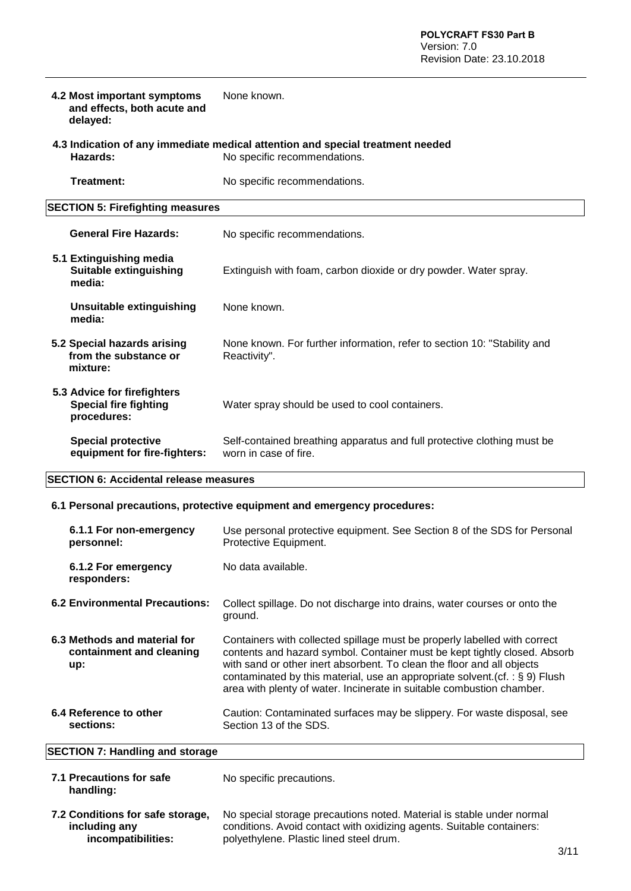|                                                                                                                            | 4.2 Most important symptoms<br>and effects, both acute and<br>delayed:     | None known.                                                                                      |
|----------------------------------------------------------------------------------------------------------------------------|----------------------------------------------------------------------------|--------------------------------------------------------------------------------------------------|
| 4.3 Indication of any immediate medical attention and special treatment needed<br>Hazards:<br>No specific recommendations. |                                                                            |                                                                                                  |
|                                                                                                                            | Treatment:                                                                 | No specific recommendations.                                                                     |
|                                                                                                                            | <b>SECTION 5: Firefighting measures</b>                                    |                                                                                                  |
|                                                                                                                            | <b>General Fire Hazards:</b>                                               | No specific recommendations.                                                                     |
|                                                                                                                            | 5.1 Extinguishing media<br><b>Suitable extinguishing</b><br>media:         | Extinguish with foam, carbon dioxide or dry powder. Water spray.                                 |
|                                                                                                                            | <b>Unsuitable extinguishing</b><br>media:                                  | None known.                                                                                      |
|                                                                                                                            | 5.2 Special hazards arising<br>from the substance or<br>mixture:           | None known. For further information, refer to section 10: "Stability and<br>Reactivity".         |
|                                                                                                                            | 5.3 Advice for firefighters<br><b>Special fire fighting</b><br>procedures: | Water spray should be used to cool containers.                                                   |
|                                                                                                                            | <b>Special protective</b><br>equipment for fire-fighters:                  | Self-contained breathing apparatus and full protective clothing must be<br>worn in case of fire. |

#### **SECTION 6: Accidental release measures**

#### **6.1 Personal precautions, protective equipment and emergency procedures:**

| 6.1.1 For non-emergency<br>personnel:<br>6.1.2 For emergency<br>responders: | Use personal protective equipment. See Section 8 of the SDS for Personal<br>Protective Equipment.<br>No data available.                                                                                                                                                                                                                                                                      |
|-----------------------------------------------------------------------------|----------------------------------------------------------------------------------------------------------------------------------------------------------------------------------------------------------------------------------------------------------------------------------------------------------------------------------------------------------------------------------------------|
| <b>6.2 Environmental Precautions:</b>                                       | Collect spillage. Do not discharge into drains, water courses or onto the<br>ground.                                                                                                                                                                                                                                                                                                         |
| 6.3 Methods and material for<br>containment and cleaning<br>up:             | Containers with collected spillage must be properly labelled with correct<br>contents and hazard symbol. Container must be kept tightly closed. Absorb<br>with sand or other inert absorbent. To clean the floor and all objects<br>contaminated by this material, use an appropriate solvent. (cf. : $\S$ 9) Flush<br>area with plenty of water. Incinerate in suitable combustion chamber. |
| 6.4 Reference to other<br>sections:                                         | Caution: Contaminated surfaces may be slippery. For waste disposal, see<br>Section 13 of the SDS.                                                                                                                                                                                                                                                                                            |

# **SECTION 7: Handling and storage**

| 7.1 Precautions for safe<br>handling: | No specific precautions. |
|---------------------------------------|--------------------------|
|                                       |                          |

**7.2 Conditions for safe storage, including any incompatibilities:** 

No special storage precautions noted. Material is stable under normal conditions. Avoid contact with oxidizing agents. Suitable containers: polyethylene. Plastic lined steel drum.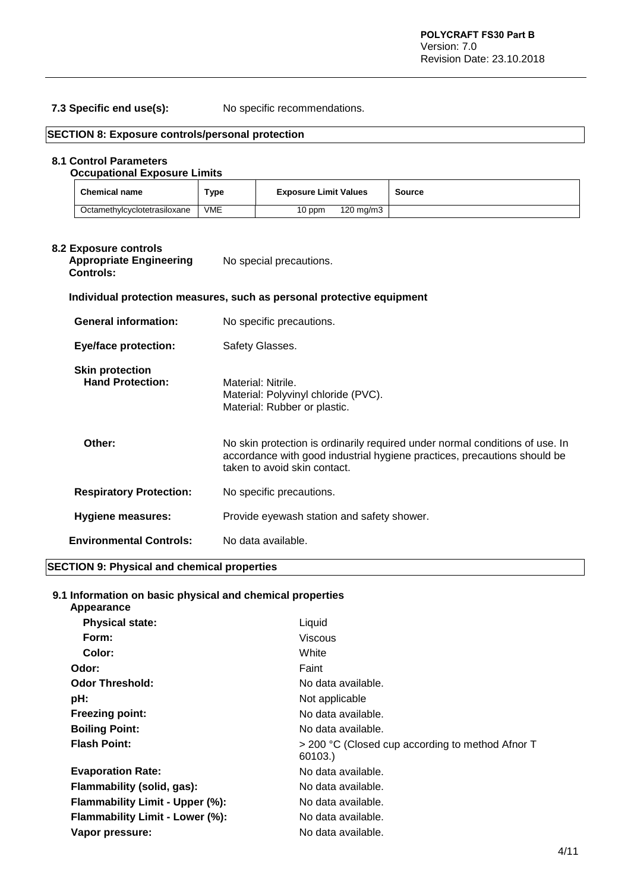**7.3 Specific end use(s):** No specific recommendations.

| <b>Chemical name</b>                                                                                                                           | <b>Type</b> | <b>Exposure Limit Values</b>                                                                                                                                                             | Source |
|------------------------------------------------------------------------------------------------------------------------------------------------|-------------|------------------------------------------------------------------------------------------------------------------------------------------------------------------------------------------|--------|
| Octamethylcyclotetrasiloxane                                                                                                                   | <b>VME</b>  | 120 mg/m3<br>10 ppm                                                                                                                                                                      |        |
| 8.2 Exposure controls<br><b>Appropriate Engineering</b><br><b>Controls:</b>                                                                    |             | No special precautions.                                                                                                                                                                  |        |
| <b>General information:</b>                                                                                                                    |             | Individual protection measures, such as personal protective equipment<br>No specific precautions.                                                                                        |        |
| <b>Eye/face protection:</b>                                                                                                                    |             | Safety Glasses.                                                                                                                                                                          |        |
| <b>Skin protection</b><br><b>Hand Protection:</b><br>Material: Nitrile.<br>Material: Polyvinyl chloride (PVC).<br>Material: Rubber or plastic. |             |                                                                                                                                                                                          |        |
| Other:                                                                                                                                         |             | No skin protection is ordinarily required under normal conditions of use. In<br>accordance with good industrial hygiene practices, precautions should be<br>taken to avoid skin contact. |        |
|                                                                                                                                                |             |                                                                                                                                                                                          |        |
| <b>Respiratory Protection:</b>                                                                                                                 |             | No specific precautions.                                                                                                                                                                 |        |
| <b>Hygiene measures:</b>                                                                                                                       |             | Provide eyewash station and safety shower.                                                                                                                                               |        |

#### **SECTION 9: Physical and chemical properties**

#### **9.1 Information on basic physical and chemical properties**

| > 200 °C (Closed cup according to method Afnor T |
|--------------------------------------------------|
|                                                  |
|                                                  |
|                                                  |
|                                                  |
|                                                  |
|                                                  |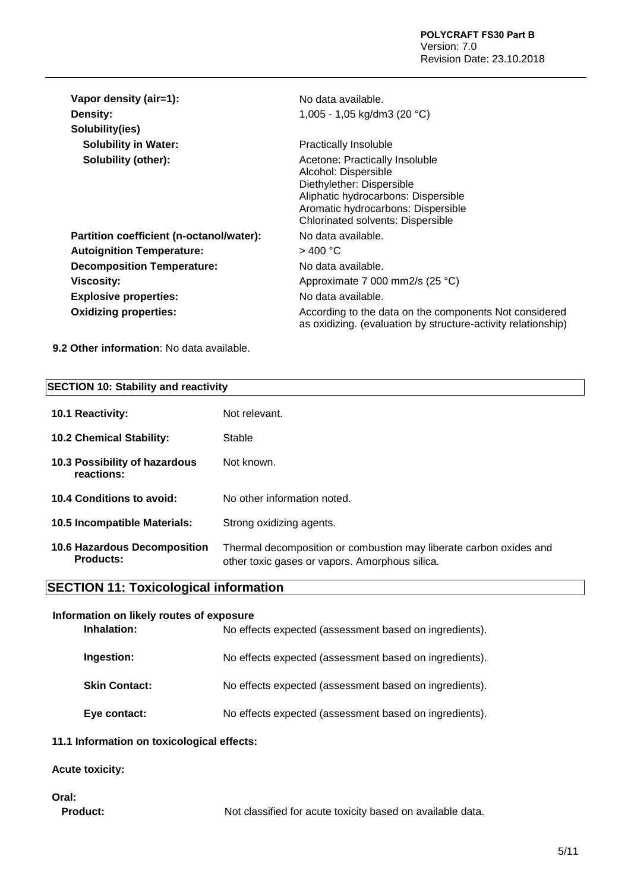| Vapor density (air=1):                   | No data available.                                                                                                                                                                                           |
|------------------------------------------|--------------------------------------------------------------------------------------------------------------------------------------------------------------------------------------------------------------|
| <b>Density:</b>                          | 1,005 - 1,05 kg/dm3 (20 °C)                                                                                                                                                                                  |
| Solubility(ies)                          |                                                                                                                                                                                                              |
| <b>Solubility in Water:</b>              | <b>Practically Insoluble</b>                                                                                                                                                                                 |
| Solubility (other):                      | Acetone: Practically Insoluble<br>Alcohol: Dispersible<br>Diethylether: Dispersible<br>Aliphatic hydrocarbons: Dispersible<br>Aromatic hydrocarbons: Dispersible<br><b>Chlorinated solvents: Dispersible</b> |
| Partition coefficient (n-octanol/water): | No data available.                                                                                                                                                                                           |
| <b>Autoignition Temperature:</b>         | $>$ 400 °C                                                                                                                                                                                                   |
| <b>Decomposition Temperature:</b>        | No data available.                                                                                                                                                                                           |
| Viscosity:                               | Approximate 7 000 mm2/s (25 °C)                                                                                                                                                                              |
| <b>Explosive properties:</b>             | No data available.                                                                                                                                                                                           |
| <b>Oxidizing properties:</b>             | According to the data on the components Not considered<br>as oxidizing. (evaluation by structure-activity relationship)                                                                                      |

**9.2 Other information**: No data available.

#### **SECTION 10: Stability and reactivity**

| 10.1 Reactivity:                                 | Not relevant.                                                                                                        |
|--------------------------------------------------|----------------------------------------------------------------------------------------------------------------------|
| <b>10.2 Chemical Stability:</b>                  | <b>Stable</b>                                                                                                        |
| 10.3 Possibility of hazardous<br>reactions:      | Not known.                                                                                                           |
| 10.4 Conditions to avoid:                        | No other information noted.                                                                                          |
| <b>10.5 Incompatible Materials:</b>              | Strong oxidizing agents.                                                                                             |
| 10.6 Hazardous Decomposition<br><b>Products:</b> | Thermal decomposition or combustion may liberate carbon oxides and<br>other toxic gases or vapors. Amorphous silica. |

# **SECTION 11: Toxicological information**

| Information on likely routes of exposure |                      |                                                        |
|------------------------------------------|----------------------|--------------------------------------------------------|
| Inhalation:                              |                      | No effects expected (assessment based on ingredients). |
| Ingestion:                               |                      | No effects expected (assessment based on ingredients). |
|                                          | <b>Skin Contact:</b> | No effects expected (assessment based on ingredients). |
|                                          | Eye contact:         | No effects expected (assessment based on ingredients). |
|                                          |                      |                                                        |

### **11.1 Information on toxicological effects:**

#### **Acute toxicity:**

### **Oral:**

Product: Not classified for acute toxicity based on available data.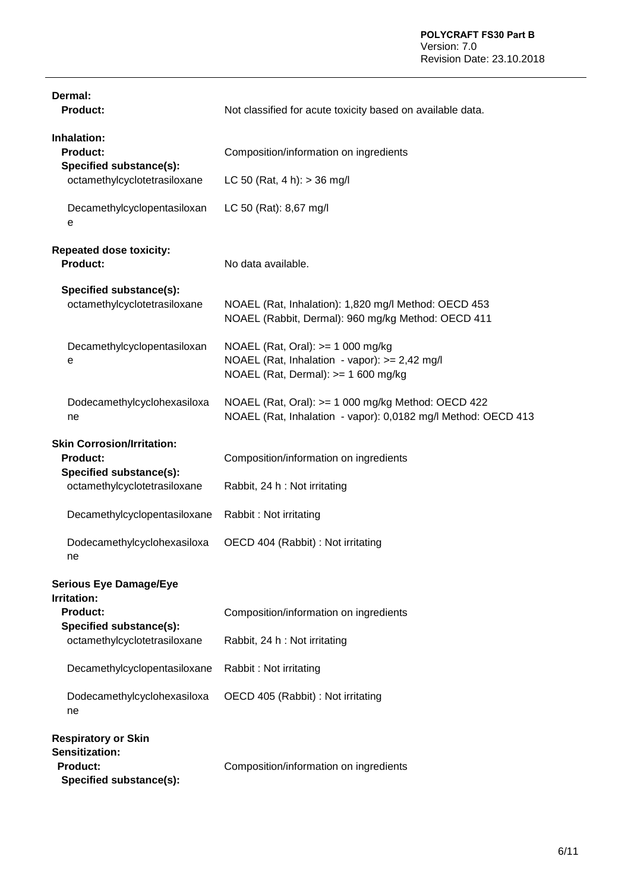| Dermal:<br><b>Product:</b>                                                                                      | Not classified for acute toxicity based on available data.                                                                 |
|-----------------------------------------------------------------------------------------------------------------|----------------------------------------------------------------------------------------------------------------------------|
| Inhalation:<br><b>Product:</b><br>Specified substance(s):                                                       | Composition/information on ingredients                                                                                     |
| octamethylcyclotetrasiloxane                                                                                    | LC 50 (Rat, 4 h): $>$ 36 mg/l                                                                                              |
| Decamethylcyclopentasiloxan<br>е                                                                                | LC 50 (Rat): 8,67 mg/l                                                                                                     |
| <b>Repeated dose toxicity:</b><br>Product:                                                                      | No data available.                                                                                                         |
| Specified substance(s):<br>octamethylcyclotetrasiloxane                                                         | NOAEL (Rat, Inhalation): 1,820 mg/l Method: OECD 453<br>NOAEL (Rabbit, Dermal): 960 mg/kg Method: OECD 411                 |
| Decamethylcyclopentasiloxan<br>e                                                                                | NOAEL (Rat, Oral): $>= 1000$ mg/kg<br>NOAEL (Rat, Inhalation - vapor): >= 2,42 mg/l<br>NOAEL (Rat, Dermal): >= 1 600 mg/kg |
| Dodecamethylcyclohexasiloxa<br>ne                                                                               | NOAEL (Rat, Oral): >= 1 000 mg/kg Method: OECD 422<br>NOAEL (Rat, Inhalation - vapor): 0,0182 mg/l Method: OECD 413        |
| <b>Skin Corrosion/Irritation:</b><br><b>Product:</b><br>Specified substance(s):<br>octamethylcyclotetrasiloxane | Composition/information on ingredients<br>Rabbit, 24 h : Not irritating                                                    |
| Decamethylcyclopentasiloxane                                                                                    | Rabbit: Not irritating                                                                                                     |
| Dodecamethylcyclohexasiloxa<br>ne                                                                               | OECD 404 (Rabbit) : Not irritating                                                                                         |
| <b>Serious Eye Damage/Eye</b><br><b>Irritation:</b><br>Product:<br>Specified substance(s):                      | Composition/information on ingredients                                                                                     |
| octamethylcyclotetrasiloxane                                                                                    | Rabbit, 24 h : Not irritating                                                                                              |
| Decamethylcyclopentasiloxane                                                                                    | Rabbit: Not irritating                                                                                                     |
| Dodecamethylcyclohexasiloxa<br>ne                                                                               | OECD 405 (Rabbit) : Not irritating                                                                                         |
| <b>Respiratory or Skin</b><br>Sensitization:<br><b>Product:</b><br>Specified substance(s):                      | Composition/information on ingredients                                                                                     |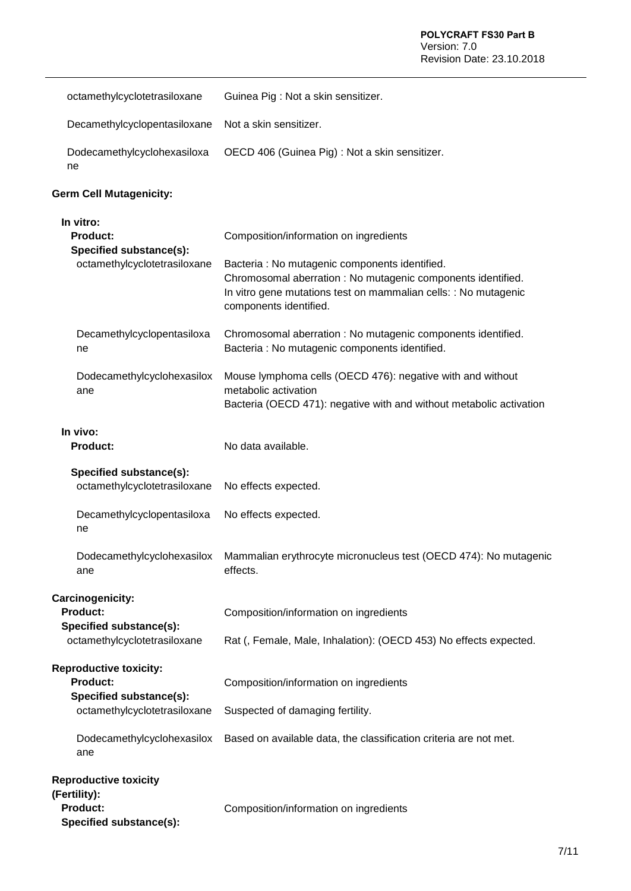| octamethylcyclotetrasiloxane                                                                                | Guinea Pig: Not a skin sensitizer.                                                                                                                                                                                                                    |  |
|-------------------------------------------------------------------------------------------------------------|-------------------------------------------------------------------------------------------------------------------------------------------------------------------------------------------------------------------------------------------------------|--|
| Decamethylcyclopentasiloxane                                                                                | Not a skin sensitizer.                                                                                                                                                                                                                                |  |
| Dodecamethylcyclohexasiloxa<br>ne                                                                           | OECD 406 (Guinea Pig) : Not a skin sensitizer.                                                                                                                                                                                                        |  |
| <b>Germ Cell Mutagenicity:</b>                                                                              |                                                                                                                                                                                                                                                       |  |
| In vitro:<br><b>Product:</b><br>Specified substance(s):<br>octamethylcyclotetrasiloxane                     | Composition/information on ingredients<br>Bacteria : No mutagenic components identified.<br>Chromosomal aberration : No mutagenic components identified.<br>In vitro gene mutations test on mammalian cells: : No mutagenic<br>components identified. |  |
| Decamethylcyclopentasiloxa<br>ne                                                                            | Chromosomal aberration : No mutagenic components identified.<br>Bacteria : No mutagenic components identified.                                                                                                                                        |  |
| Dodecamethylcyclohexasilox<br>ane                                                                           | Mouse lymphoma cells (OECD 476): negative with and without<br>metabolic activation<br>Bacteria (OECD 471): negative with and without metabolic activation                                                                                             |  |
| In vivo:<br><b>Product:</b>                                                                                 | No data available.                                                                                                                                                                                                                                    |  |
| Specified substance(s):<br>octamethylcyclotetrasiloxane                                                     | No effects expected.                                                                                                                                                                                                                                  |  |
| Decamethylcyclopentasiloxa<br>ne                                                                            | No effects expected.                                                                                                                                                                                                                                  |  |
| Dodecamethylcyclohexasilox<br>ane                                                                           | Mammalian erythrocyte micronucleus test (OECD 474): No mutagenic<br>effects.                                                                                                                                                                          |  |
| Carcinogenicity:<br><b>Product:</b><br>Specified substance(s):<br>octamethylcyclotetrasiloxane              | Composition/information on ingredients<br>Rat (, Female, Male, Inhalation): (OECD 453) No effects expected.                                                                                                                                           |  |
| <b>Reproductive toxicity:</b><br><b>Product:</b><br>Specified substance(s):<br>octamethylcyclotetrasiloxane | Composition/information on ingredients<br>Suspected of damaging fertility.                                                                                                                                                                            |  |
| Dodecamethylcyclohexasilox<br>ane                                                                           | Based on available data, the classification criteria are not met.                                                                                                                                                                                     |  |
| <b>Reproductive toxicity</b><br>(Fertility):<br>Product:<br>Specified substance(s):                         | Composition/information on ingredients                                                                                                                                                                                                                |  |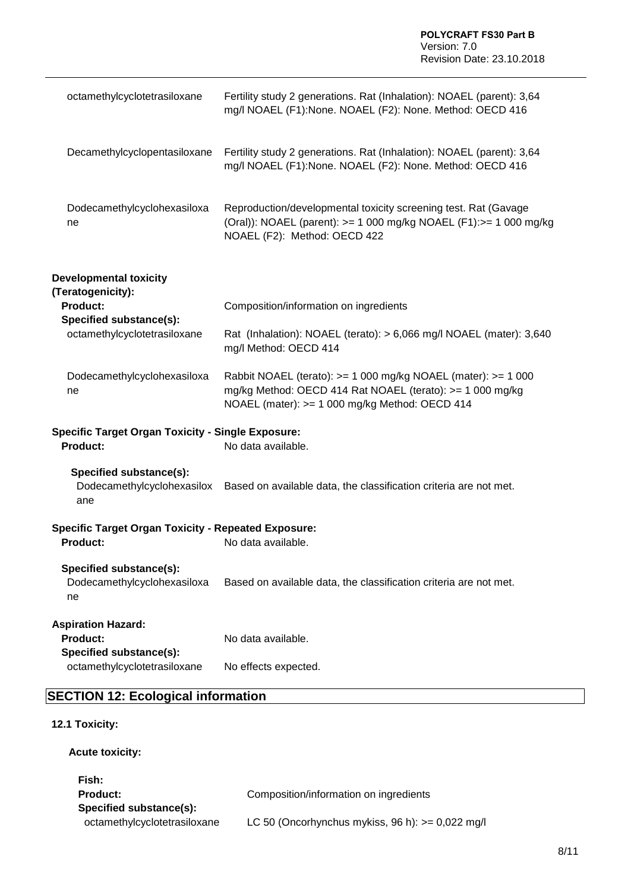| octamethylcyclotetrasiloxane                                                                    | Fertility study 2 generations. Rat (Inhalation): NOAEL (parent): 3,64<br>mg/l NOAEL (F1):None. NOAEL (F2): None. Method: OECD 416                                            |
|-------------------------------------------------------------------------------------------------|------------------------------------------------------------------------------------------------------------------------------------------------------------------------------|
| Decamethylcyclopentasiloxane                                                                    | Fertility study 2 generations. Rat (Inhalation): NOAEL (parent): 3,64<br>mg/l NOAEL (F1):None. NOAEL (F2): None. Method: OECD 416                                            |
| Dodecamethylcyclohexasiloxa<br>ne                                                               | Reproduction/developmental toxicity screening test. Rat (Gavage<br>(Oral)): NOAEL (parent): >= 1 000 mg/kg NOAEL (F1):>= 1 000 mg/kg<br>NOAEL (F2): Method: OECD 422         |
| <b>Developmental toxicity</b>                                                                   |                                                                                                                                                                              |
| (Teratogenicity):<br><b>Product:</b><br>Specified substance(s):<br>octamethylcyclotetrasiloxane | Composition/information on ingredients                                                                                                                                       |
|                                                                                                 | Rat (Inhalation): NOAEL (terato): > 6,066 mg/l NOAEL (mater): 3,640<br>mg/l Method: OECD 414                                                                                 |
| Dodecamethylcyclohexasiloxa<br>ne                                                               | Rabbit NOAEL (terato): >= 1 000 mg/kg NOAEL (mater): >= 1 000<br>mg/kg Method: OECD 414 Rat NOAEL (terato): >= 1 000 mg/kg<br>NOAEL (mater): >= 1 000 mg/kg Method: OECD 414 |
| <b>Specific Target Organ Toxicity - Single Exposure:</b><br>Product:                            | No data available.                                                                                                                                                           |
| Specified substance(s):<br>Dodecamethylcyclohexasilox<br>ane                                    | Based on available data, the classification criteria are not met.                                                                                                            |
| <b>Specific Target Organ Toxicity - Repeated Exposure:</b>                                      |                                                                                                                                                                              |
| Product:                                                                                        | No data available.                                                                                                                                                           |
| Specified substance(s):<br>Dodecamethylcyclohexasiloxa<br>ne                                    | Based on available data, the classification criteria are not met.                                                                                                            |
| <b>Aspiration Hazard:</b><br><b>Product:</b>                                                    | No data available.                                                                                                                                                           |
| Specified substance(s):<br>octamethylcyclotetrasiloxane                                         | No effects expected.                                                                                                                                                         |

# **SECTION 12: Ecological information**

#### **12.1 Toxicity:**

**Acute toxicity:** 

| Fish:                        |                                                    |
|------------------------------|----------------------------------------------------|
| <b>Product:</b>              | Composition/information on ingredients             |
| Specified substance(s):      |                                                    |
| octamethylcyclotetrasiloxane | LC 50 (Oncorhynchus mykiss, 96 h): $>= 0.022$ mg/l |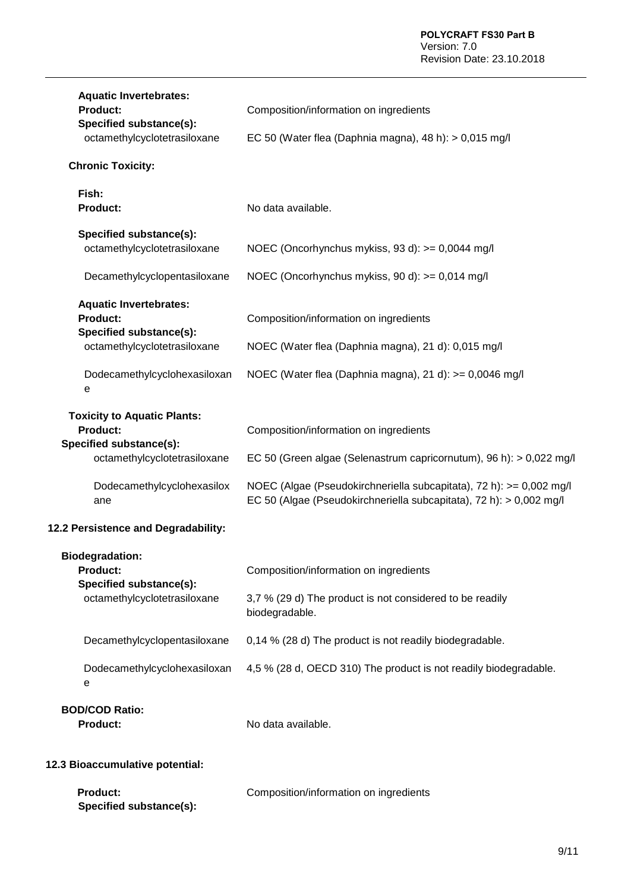| <b>Aquatic Invertebrates:</b><br><b>Product:</b><br>Specified substance(s):<br>octamethylcyclotetrasiloxane      | Composition/information on ingredients<br>EC 50 (Water flea (Daphnia magna), 48 h): > 0,015 mg/l                                           |
|------------------------------------------------------------------------------------------------------------------|--------------------------------------------------------------------------------------------------------------------------------------------|
| <b>Chronic Toxicity:</b>                                                                                         |                                                                                                                                            |
| Fish:<br><b>Product:</b>                                                                                         | No data available.                                                                                                                         |
| Specified substance(s):<br>octamethylcyclotetrasiloxane                                                          | NOEC (Oncorhynchus mykiss, 93 d): >= 0,0044 mg/l                                                                                           |
| Decamethylcyclopentasiloxane                                                                                     | NOEC (Oncorhynchus mykiss, 90 d): >= 0,014 mg/l                                                                                            |
| <b>Aquatic Invertebrates:</b><br><b>Product:</b><br>Specified substance(s):                                      | Composition/information on ingredients                                                                                                     |
| octamethylcyclotetrasiloxane                                                                                     | NOEC (Water flea (Daphnia magna), 21 d): 0,015 mg/l                                                                                        |
| Dodecamethylcyclohexasiloxan<br>e                                                                                | NOEC (Water flea (Daphnia magna), 21 d): >= 0,0046 mg/l                                                                                    |
| <b>Toxicity to Aquatic Plants:</b><br><b>Product:</b><br>Specified substance(s):<br>octamethylcyclotetrasiloxane | Composition/information on ingredients<br>EC 50 (Green algae (Selenastrum capricornutum), 96 h): > 0,022 mg/l                              |
| Dodecamethylcyclohexasilox<br>ane                                                                                | NOEC (Algae (Pseudokirchneriella subcapitata), 72 h): >= 0,002 mg/l<br>EC 50 (Algae (Pseudokirchneriella subcapitata), 72 h): > 0,002 mg/l |
| 12.2 Persistence and Degradability:                                                                              |                                                                                                                                            |
| <b>Biodegradation:</b><br><b>Product:</b><br>Specified substance(s):<br>octamethylcyclotetrasiloxane             | Composition/information on ingredients<br>3,7 % (29 d) The product is not considered to be readily<br>biodegradable.                       |
| Decamethylcyclopentasiloxane                                                                                     | 0,14 % (28 d) The product is not readily biodegradable.                                                                                    |
| Dodecamethylcyclohexasiloxan<br>е                                                                                | 4,5 % (28 d, OECD 310) The product is not readily biodegradable.                                                                           |
| <b>BOD/COD Ratio:</b><br><b>Product:</b>                                                                         | No data available.                                                                                                                         |

# **12.3 Bioaccumulative potential:**

| <b>Product:</b>         | Composition/information on ingredients |
|-------------------------|----------------------------------------|
| Specified substance(s): |                                        |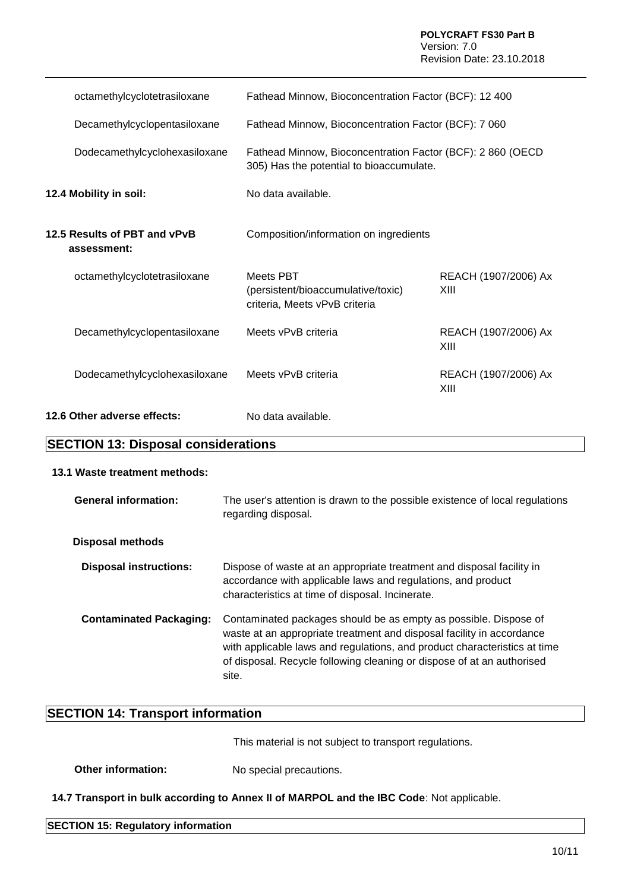| octamethylcyclotetrasiloxane                | Fathead Minnow, Bioconcentration Factor (BCF): 12 400                                                   |                              |
|---------------------------------------------|---------------------------------------------------------------------------------------------------------|------------------------------|
| Decamethylcyclopentasiloxane                | Fathead Minnow, Bioconcentration Factor (BCF): 7 060                                                    |                              |
| Dodecamethylcyclohexasiloxane               | Fathead Minnow, Bioconcentration Factor (BCF): 2 860 (OECD)<br>305) Has the potential to bioaccumulate. |                              |
| 12.4 Mobility in soil:                      | No data available.                                                                                      |                              |
| 12.5 Results of PBT and vPvB<br>assessment: | Composition/information on ingredients                                                                  |                              |
| octamethylcyclotetrasiloxane                | Meets PBT<br>(persistent/bioaccumulative/toxic)<br>criteria, Meets vPvB criteria                        | REACH (1907/2006) Ax<br>XIII |
| Decamethylcyclopentasiloxane                | Meets vPvB criteria                                                                                     | REACH (1907/2006) Ax<br>XIII |
| Dodecamethylcyclohexasiloxane               | Meets vPvB criteria                                                                                     | REACH (1907/2006) Ax<br>XIII |
| 12.6 Other adverse effects:                 | No data available.                                                                                      |                              |

## **SECTION 13: Disposal considerations**

#### **13.1 Waste treatment methods:**

| <b>General information:</b>    | The user's attention is drawn to the possible existence of local regulations<br>regarding disposal.                                                                                                                                                                                                       |
|--------------------------------|-----------------------------------------------------------------------------------------------------------------------------------------------------------------------------------------------------------------------------------------------------------------------------------------------------------|
| Disposal methods               |                                                                                                                                                                                                                                                                                                           |
| <b>Disposal instructions:</b>  | Dispose of waste at an appropriate treatment and disposal facility in<br>accordance with applicable laws and regulations, and product<br>characteristics at time of disposal. Incinerate.                                                                                                                 |
| <b>Contaminated Packaging:</b> | Contaminated packages should be as empty as possible. Dispose of<br>waste at an appropriate treatment and disposal facility in accordance<br>with applicable laws and regulations, and product characteristics at time<br>of disposal. Recycle following cleaning or dispose of at an authorised<br>site. |

# **SECTION 14: Transport information**

This material is not subject to transport regulations.

**Other information:** No special precautions.

**14.7 Transport in bulk according to Annex II of MARPOL and the IBC Code**: Not applicable.